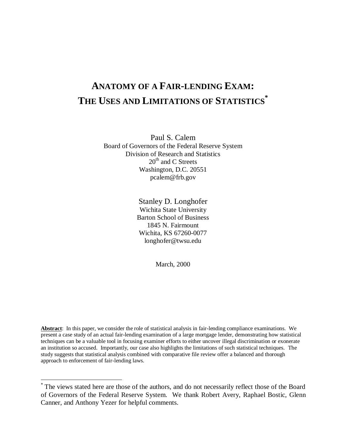# **ANATOMY OF A FAIR-LENDING EXAM: THE USES AND LIMITATIONS OF STATISTICS \***

Paul S. Calem Board of Governors of the Federal Reserve System Division of Research and Statistics 20<sup>th</sup> and C Streets Washington, D.C. 20551 pcalem@frb.gov

> Stanley D. Longhofer Wichita State University Barton School of Business 1845 N. Fairmount Wichita, KS 67260-0077 longhofer@twsu.edu

> > March, 2000

**Abstract**: In this paper, we consider the role of statistical analysis in fair-lending compliance examinations. We present a case study of an actual fair-lending examination of a large mortgage lender, demonstrating how statistical techniques can be a valuable tool in focusing examiner efforts to either uncover illegal discrimination or exonerate an institution so accused. Importantly, our case also highlights the limitations of such statistical techniques. The study suggests that statistical analysis combined with comparative file review offer a balanced and thorough approach to enforcement of fair-lending laws.

 $\overline{a}$ 

<sup>\*</sup> The views stated here are those of the authors, and do not necessarily reflect those of the Board of Governors of the Federal Reserve System. We thank Robert Avery, Raphael Bostic, Glenn Canner, and Anthony Yezer for helpful comments.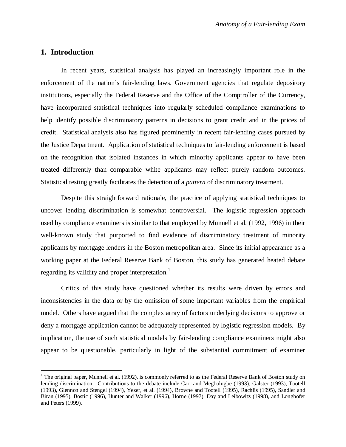## **1. Introduction**

 $\overline{a}$ 

In recent years, statistical analysis has played an increasingly important role in the enforcement of the nation's fair-lending laws. Government agencies that regulate depository institutions, especially the Federal Reserve and the Office of the Comptroller of the Currency, have incorporated statistical techniques into regularly scheduled compliance examinations to help identify possible discriminatory patterns in decisions to grant credit and in the prices of credit. Statistical analysis also has figured prominently in recent fair-lending cases pursued by the Justice Department. Application of statistical techniques to fair-lending enforcement is based on the recognition that isolated instances in which minority applicants appear to have been treated differently than comparable white applicants may reflect purely random outcomes. Statistical testing greatly facilitates the detection of a *pattern* of discriminatory treatment.

Despite this straightforward rationale, the practice of applying statistical techniques to uncover lending discrimination is somewhat controversial. The logistic regression approach used by compliance examiners is similar to that employed by Munnell et al. (1992, 1996) in their well-known study that purported to find evidence of discriminatory treatment of minority applicants by mortgage lenders in the Boston metropolitan area. Since its initial appearance as a working paper at the Federal Reserve Bank of Boston, this study has generated heated debate regarding its validity and proper interpretation.<sup>1</sup>

Critics of this study have questioned whether its results were driven by errors and inconsistencies in the data or by the omission of some important variables from the empirical model. Others have argued that the complex array of factors underlying decisions to approve or deny a mortgage application cannot be adequately represented by logistic regression models. By implication, the use of such statistical models by fair-lending compliance examiners might also appear to be questionable, particularly in light of the substantial commitment of examiner

<sup>&</sup>lt;sup>1</sup> The original paper, Munnell et al. (1992), is commonly referred to as the Federal Reserve Bank of Boston study on lending discrimination. Contributions to the debate include Carr and Megbolugbe (1993), Galster (1993), Tootell (1993), Glennon and Stengel (1994), Yezer, et al. (1994), Browne and Tootell (1995), Rachlis (1995), Sandler and Biran (1995), Bostic (1996), Hunter and Walker (1996), Horne (1997), Day and Leibowitz (1998), and Longhofer and Peters (1999).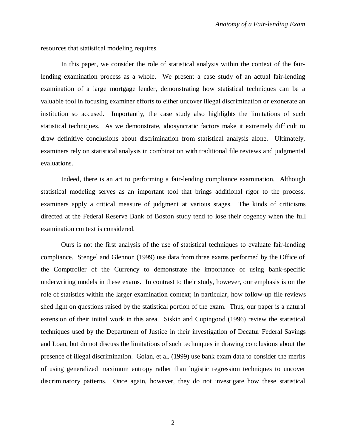resources that statistical modeling requires.

In this paper, we consider the role of statistical analysis within the context of the fairlending examination process as a whole. We present a case study of an actual fair-lending examination of a large mortgage lender, demonstrating how statistical techniques can be a valuable tool in focusing examiner efforts to either uncover illegal discrimination or exonerate an institution so accused. Importantly, the case study also highlights the limitations of such statistical techniques. As we demonstrate, idiosyncratic factors make it extremely difficult to draw definitive conclusions about discrimination from statistical analysis alone. Ultimately, examiners rely on statistical analysis in combination with traditional file reviews and judgmental evaluations.

Indeed, there is an art to performing a fair-lending compliance examination. Although statistical modeling serves as an important tool that brings additional rigor to the process, examiners apply a critical measure of judgment at various stages. The kinds of criticisms directed at the Federal Reserve Bank of Boston study tend to lose their cogency when the full examination context is considered.

Ours is not the first analysis of the use of statistical techniques to evaluate fair-lending compliance. Stengel and Glennon (1999) use data from three exams performed by the Office of the Comptroller of the Currency to demonstrate the importance of using bank-specific underwriting models in these exams. In contrast to their study, however, our emphasis is on the role of statistics within the larger examination context; in particular, how follow-up file reviews shed light on questions raised by the statistical portion of the exam. Thus, our paper is a natural extension of their initial work in this area. Siskin and Cupingood (1996) review the statistical techniques used by the Department of Justice in their investigation of Decatur Federal Savings and Loan, but do not discuss the limitations of such techniques in drawing conclusions about the presence of illegal discrimination. Golan, et al. (1999) use bank exam data to consider the merits of using generalized maximum entropy rather than logistic regression techniques to uncover discriminatory patterns. Once again, however, they do not investigate how these statistical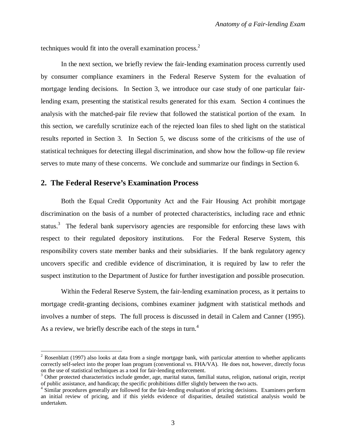techniques would fit into the overall examination process.<sup>2</sup>

In the next section, we briefly review the fair-lending examination process currently used by consumer compliance examiners in the Federal Reserve System for the evaluation of mortgage lending decisions. In Section 3, we introduce our case study of one particular fairlending exam, presenting the statistical results generated for this exam. Section 4 continues the analysis with the matched-pair file review that followed the statistical portion of the exam. In this section, we carefully scrutinize each of the rejected loan files to shed light on the statistical results reported in Section 3. In Section 5, we discuss some of the criticisms of the use of statistical techniques for detecting illegal discrimination, and show how the follow-up file review serves to mute many of these concerns. We conclude and summarize our findings in Section 6.

## **2. The Federal Reserve's Examination Process**

 $\overline{a}$ 

Both the Equal Credit Opportunity Act and the Fair Housing Act prohibit mortgage discrimination on the basis of a number of protected characteristics, including race and ethnic status.<sup>3</sup> The federal bank supervisory agencies are responsible for enforcing these laws with respect to their regulated depository institutions. For the Federal Reserve System, this responsibility covers state member banks and their subsidiaries. If the bank regulatory agency uncovers specific and credible evidence of discrimination, it is required by law to refer the suspect institution to the Department of Justice for further investigation and possible prosecution.

Within the Federal Reserve System, the fair-lending examination process, as it pertains to mortgage credit-granting decisions, combines examiner judgment with statistical methods and involves a number of steps. The full process is discussed in detail in Calem and Canner (1995). As a review, we briefly describe each of the steps in turn.<sup>4</sup>

 $2^2$  Rosenblatt (1997) also looks at data from a single mortgage bank, with particular attention to whether applicants correctly self-select into the proper loan program (conventional vs. FHA/VA). He does not, however, directly focus on the use of statistical techniques as a tool for fair-lending enforcement.

<sup>&</sup>lt;sup>3</sup> Other protected characteristics include gender, age, marital status, familial status, religion, national origin, receipt of public assistance, and handicap; the specific prohibitions differ slightly between the two acts.

<sup>&</sup>lt;sup>4</sup> Similar procedures generally are followed for the fair-lending evaluation of pricing decisions. Examiners perform an initial review of pricing, and if this yields evidence of disparities, detailed statistical analysis would be undertaken.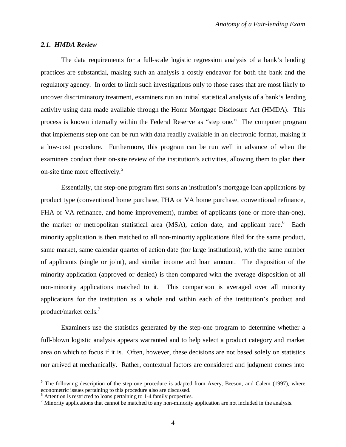#### *2.1. HMDA Review*

The data requirements for a full-scale logistic regression analysis of a bank's lending practices are substantial, making such an analysis a costly endeavor for both the bank and the regulatory agency. In order to limit such investigations only to those cases that are most likely to uncover discriminatory treatment, examiners run an initial statistical analysis of a bank's lending activity using data made available through the Home Mortgage Disclosure Act (HMDA). This process is known internally within the Federal Reserve as "step one." The computer program that implements step one can be run with data readily available in an electronic format, making it a low-cost procedure. Furthermore, this program can be run well in advance of when the examiners conduct their on-site review of the institution's activities, allowing them to plan their on-site time more effectively.<sup>5</sup>

Essentially, the step-one program first sorts an institution's mortgage loan applications by product type (conventional home purchase, FHA or VA home purchase, conventional refinance, FHA or VA refinance, and home improvement), number of applicants (one or more-than-one), the market or metropolitan statistical area (MSA), action date, and applicant race.<sup>6</sup> Each minority application is then matched to all non-minority applications filed for the same product, same market, same calendar quarter of action date (for large institutions), with the same number of applicants (single or joint), and similar income and loan amount. The disposition of the minority application (approved or denied) is then compared with the average disposition of all non-minority applications matched to it. This comparison is averaged over all minority applications for the institution as a whole and within each of the institution's product and product/market cells.<sup>7</sup>

Examiners use the statistics generated by the step-one program to determine whether a full-blown logistic analysis appears warranted and to help select a product category and market area on which to focus if it is. Often, however, these decisions are not based solely on statistics nor arrived at mechanically. Rather, contextual factors are considered and judgment comes into

<sup>&</sup>lt;sup>5</sup> The following description of the step one procedure is adapted from Avery, Beeson, and Calem (1997), where econometric issues pertaining to this procedure also are discussed.

<sup>&</sup>lt;sup>6</sup> Attention is restricted to loans pertaining to 1-4 family properties.

 $<sup>7</sup>$  Minority applications that cannot be matched to any non-minority application are not included in the analysis.</sup>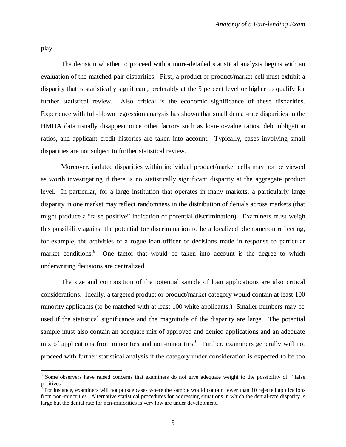play.

 $\overline{a}$ 

The decision whether to proceed with a more-detailed statistical analysis begins with an evaluation of the matched-pair disparities. First, a product or product/market cell must exhibit a disparity that is statistically significant, preferably at the 5 percent level or higher to qualify for further statistical review. Also critical is the economic significance of these disparities. Experience with full-blown regression analysis has shown that small denial-rate disparities in the HMDA data usually disappear once other factors such as loan-to-value ratios, debt obligation ratios, and applicant credit histories are taken into account. Typically, cases involving small disparities are not subject to further statistical review.

Moreover, isolated disparities within individual product/market cells may not be viewed as worth investigating if there is no statistically significant disparity at the aggregate product level. In particular, for a large institution that operates in many markets, a particularly large disparity in one market may reflect randomness in the distribution of denials across markets (that might produce a "false positive" indication of potential discrimination). Examiners must weigh this possibility against the potential for discrimination to be a localized phenomenon reflecting, for example, the activities of a rogue loan officer or decisions made in response to particular market conditions.<sup>8</sup> One factor that would be taken into account is the degree to which underwriting decisions are centralized.

The size and composition of the potential sample of loan applications are also critical considerations. Ideally, a targeted product or product/market category would contain at least 100 minority applicants (to be matched with at least 100 white applicants.) Smaller numbers may be used if the statistical significance and the magnitude of the disparity are large. The potential sample must also contain an adequate mix of approved and denied applications and an adequate mix of applications from minorities and non-minorities.<sup>9</sup> Further, examiners generally will not proceed with further statistical analysis if the category under consideration is expected to be too

<sup>&</sup>lt;sup>8</sup> Some observers have raised concerns that examiners do not give adequate weight to the possibility of "false positives."

<sup>&</sup>lt;sup>9</sup> For instance, examiners will not pursue cases where the sample would contain fewer than 10 rejected applications from non-minorities. Alternative statistical procedures for addressing situations in which the denial-rate disparity is large but the denial rate for non-minorities is very low are under development.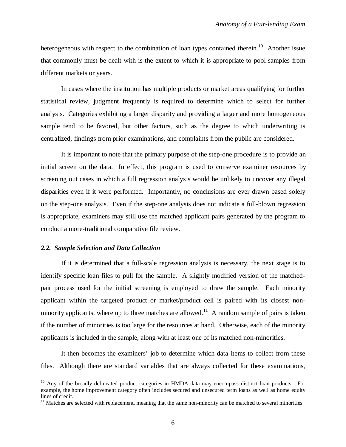heterogeneous with respect to the combination of loan types contained therein.<sup>10</sup> Another issue that commonly must be dealt with is the extent to which it is appropriate to pool samples from different markets or years.

In cases where the institution has multiple products or market areas qualifying for further statistical review, judgment frequently is required to determine which to select for further analysis. Categories exhibiting a larger disparity and providing a larger and more homogeneous sample tend to be favored, but other factors, such as the degree to which underwriting is centralized, findings from prior examinations, and complaints from the public are considered.

It is important to note that the primary purpose of the step-one procedure is to provide an initial screen on the data. In effect, this program is used to conserve examiner resources by screening out cases in which a full regression analysis would be unlikely to uncover any illegal disparities even if it were performed. Importantly, no conclusions are ever drawn based solely on the step-one analysis. Even if the step-one analysis does not indicate a full-blown regression is appropriate, examiners may still use the matched applicant pairs generated by the program to conduct a more-traditional comparative file review.

## *2.2. Sample Selection and Data Collection*

 $\overline{a}$ 

If it is determined that a full-scale regression analysis is necessary, the next stage is to identify specific loan files to pull for the sample. A slightly modified version of the matchedpair process used for the initial screening is employed to draw the sample. Each minority applicant within the targeted product or market/product cell is paired with its closest nonminority applicants, where up to three matches are allowed.<sup>11</sup> A random sample of pairs is taken if the number of minorities is too large for the resources at hand. Otherwise, each of the minority applicants is included in the sample, along with at least one of its matched non-minorities.

It then becomes the examiners' job to determine which data items to collect from these files. Although there are standard variables that are always collected for these examinations,

<sup>&</sup>lt;sup>10</sup> Any of the broadly delineated product categories in HMDA data may encompass distinct loan products. For example, the home improvement category often includes secured and unsecured term loans as well as home equity lines of credit.

<sup>&</sup>lt;sup>11</sup> Matches are selected with replacement, meaning that the same non-minority can be matched to several minorities.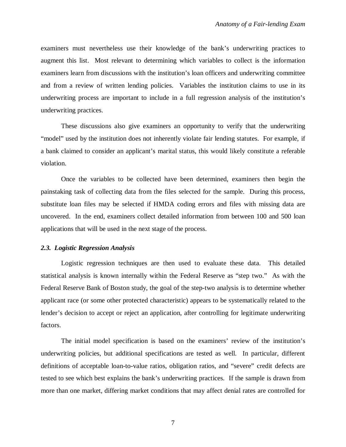examiners must nevertheless use their knowledge of the bank's underwriting practices to augment this list. Most relevant to determining which variables to collect is the information examiners learn from discussions with the institution's loan officers and underwriting committee and from a review of written lending policies. Variables the institution claims to use in its underwriting process are important to include in a full regression analysis of the institution's underwriting practices.

These discussions also give examiners an opportunity to verify that the underwriting "model" used by the institution does not inherently violate fair lending statutes. For example, if a bank claimed to consider an applicant's marital status, this would likely constitute a referable violation.

Once the variables to be collected have been determined, examiners then begin the painstaking task of collecting data from the files selected for the sample. During this process, substitute loan files may be selected if HMDA coding errors and files with missing data are uncovered. In the end, examiners collect detailed information from between 100 and 500 loan applications that will be used in the next stage of the process.

## *2.3. Logistic Regression Analysis*

Logistic regression techniques are then used to evaluate these data. This detailed statistical analysis is known internally within the Federal Reserve as "step two." As with the Federal Reserve Bank of Boston study, the goal of the step-two analysis is to determine whether applicant race (or some other protected characteristic) appears to be systematically related to the lender's decision to accept or reject an application, after controlling for legitimate underwriting factors.

The initial model specification is based on the examiners' review of the institution's underwriting policies, but additional specifications are tested as well. In particular, different definitions of acceptable loan-to-value ratios, obligation ratios, and "severe" credit defects are tested to see which best explains the bank's underwriting practices. If the sample is drawn from more than one market, differing market conditions that may affect denial rates are controlled for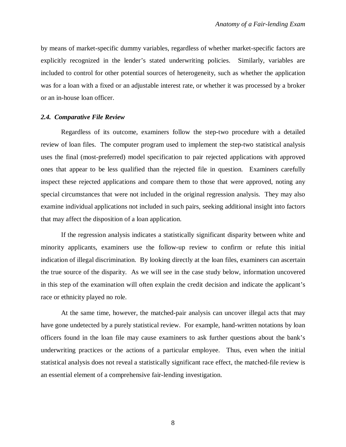by means of market-specific dummy variables, regardless of whether market-specific factors are explicitly recognized in the lender's stated underwriting policies. Similarly, variables are included to control for other potential sources of heterogeneity, such as whether the application was for a loan with a fixed or an adjustable interest rate, or whether it was processed by a broker or an in-house loan officer.

#### *2.4. Comparative File Review*

Regardless of its outcome, examiners follow the step-two procedure with a detailed review of loan files. The computer program used to implement the step-two statistical analysis uses the final (most-preferred) model specification to pair rejected applications with approved ones that appear to be less qualified than the rejected file in question. Examiners carefully inspect these rejected applications and compare them to those that were approved, noting any special circumstances that were not included in the original regression analysis. They may also examine individual applications not included in such pairs, seeking additional insight into factors that may affect the disposition of a loan application.

If the regression analysis indicates a statistically significant disparity between white and minority applicants, examiners use the follow-up review to confirm or refute this initial indication of illegal discrimination. By looking directly at the loan files, examiners can ascertain the true source of the disparity. As we will see in the case study below, information uncovered in this step of the examination will often explain the credit decision and indicate the applicant's race or ethnicity played no role.

At the same time, however, the matched-pair analysis can uncover illegal acts that may have gone undetected by a purely statistical review. For example, hand-written notations by loan officers found in the loan file may cause examiners to ask further questions about the bank's underwriting practices or the actions of a particular employee. Thus, even when the initial statistical analysis does not reveal a statistically significant race effect, the matched-file review is an essential element of a comprehensive fair-lending investigation.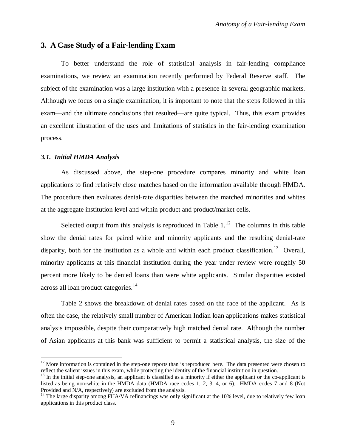## **3. A Case Study of a Fair-lending Exam**

To better understand the role of statistical analysis in fair-lending compliance examinations, we review an examination recently performed by Federal Reserve staff. The subject of the examination was a large institution with a presence in several geographic markets. Although we focus on a single examination, it is important to note that the steps followed in this exam—and the ultimate conclusions that resulted—are quite typical. Thus, this exam provides an excellent illustration of the uses and limitations of statistics in the fair-lending examination process.

#### *3.1. Initial HMDA Analysis*

 $\overline{a}$ 

As discussed above, the step-one procedure compares minority and white loan applications to find relatively close matches based on the information available through HMDA. The procedure then evaluates denial-rate disparities between the matched minorities and whites at the aggregate institution level and within product and product/market cells.

Selected output from this analysis is reproduced in Table  $1<sup>12</sup>$ . The columns in this table show the denial rates for paired white and minority applicants and the resulting denial-rate disparity, both for the institution as a whole and within each product classification.<sup>13</sup> Overall, minority applicants at this financial institution during the year under review were roughly 50 percent more likely to be denied loans than were white applicants. Similar disparities existed across all loan product categories.<sup>14</sup>

Table 2 shows the breakdown of denial rates based on the race of the applicant. As is often the case, the relatively small number of American Indian loan applications makes statistical analysis impossible, despite their comparatively high matched denial rate. Although the number of Asian applicants at this bank was sufficient to permit a statistical analysis, the size of the

 $12$  More information is contained in the step-one reports than is reproduced here. The data presented were chosen to reflect the salient issues in this exam, while protecting the identity of the financial institution in question.

 $13$  In the initial step-one analysis, an applicant is classified as a minority if either the applicant or the co-applicant is listed as being non-white in the HMDA data (HMDA race codes 1, 2, 3, 4, or 6). HMDA codes 7 and 8 (Not Provided and N/A, respectively) are excluded from the analysis.

<sup>&</sup>lt;sup>14</sup> The large disparity among FHA/VA refinancings was only significant at the 10% level, due to relatively few loan applications in this product class.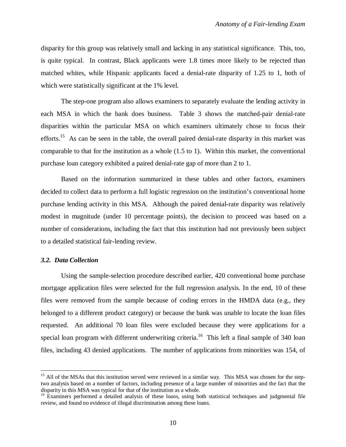disparity for this group was relatively small and lacking in any statistical significance. This, too, is quite typical. In contrast, Black applicants were 1.8 times more likely to be rejected than matched whites, while Hispanic applicants faced a denial-rate disparity of 1.25 to 1, both of which were statistically significant at the 1% level.

The step-one program also allows examiners to separately evaluate the lending activity in each MSA in which the bank does business. Table 3 shows the matched-pair denial-rate disparities within the particular MSA on which examiners ultimately chose to focus their efforts.<sup>15</sup> As can be seen in the table, the overall paired denial-rate disparity in this market was comparable to that for the institution as a whole (1.5 to 1). Within this market, the conventional purchase loan category exhibited a paired denial-rate gap of more than 2 to 1.

Based on the information summarized in these tables and other factors, examiners decided to collect data to perform a full logistic regression on the institution's conventional home purchase lending activity in this MSA. Although the paired denial-rate disparity was relatively modest in magnitude (under 10 percentage points), the decision to proceed was based on a number of considerations, including the fact that this institution had not previously been subject to a detailed statistical fair-lending review.

## *3.2. Data Collection*

 $\overline{a}$ 

Using the sample-selection procedure described earlier, 420 conventional home purchase mortgage application files were selected for the full regression analysis. In the end, 10 of these files were removed from the sample because of coding errors in the HMDA data (e.g., they belonged to a different product category) or because the bank was unable to locate the loan files requested. An additional 70 loan files were excluded because they were applications for a special loan program with different underwriting criteria.<sup>16</sup> This left a final sample of 340 loan files, including 43 denied applications. The number of applications from minorities was 154, of

<sup>&</sup>lt;sup>15</sup> All of the MSAs that this institution served were reviewed in a similar way. This MSA was chosen for the steptwo analysis based on a number of factors, including presence of a large number of minorities and the fact that the disparity in this MSA was typical for that of the institution as a whole.

<sup>&</sup>lt;sup>16</sup> Examiners performed a detailed analysis of these loans, using both statistical techniques and judgmental file review, and found no evidence of illegal discrimination among these loans.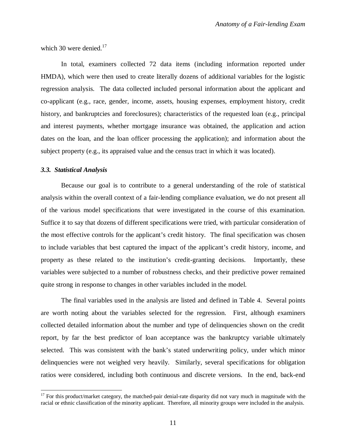which 30 were denied. $17$ 

In total, examiners collected 72 data items (including information reported under HMDA), which were then used to create literally dozens of additional variables for the logistic regression analysis. The data collected included personal information about the applicant and co-applicant (e.g., race, gender, income, assets, housing expenses, employment history, credit history, and bankruptcies and foreclosures); characteristics of the requested loan (e.g., principal and interest payments, whether mortgage insurance was obtained, the application and action dates on the loan, and the loan officer processing the application); and information about the subject property (e.g., its appraised value and the census tract in which it was located).

#### *3.3. Statistical Analysis*

Because our goal is to contribute to a general understanding of the role of statistical analysis within the overall context of a fair-lending compliance evaluation, we do not present all of the various model specifications that were investigated in the course of this examination. Suffice it to say that dozens of different specifications were tried, with particular consideration of the most effective controls for the applicant's credit history. The final specification was chosen to include variables that best captured the impact of the applicant's credit history, income, and property as these related to the institution's credit-granting decisions. Importantly, these variables were subjected to a number of robustness checks, and their predictive power remained quite strong in response to changes in other variables included in the model.

The final variables used in the analysis are listed and defined in Table 4. Several points are worth noting about the variables selected for the regression. First, although examiners collected detailed information about the number and type of delinquencies shown on the credit report, by far the best predictor of loan acceptance was the bankruptcy variable ultimately selected. This was consistent with the bank's stated underwriting policy, under which minor delinquencies were not weighed very heavily. Similarly, several specifications for obligation ratios were considered, including both continuous and discrete versions. In the end, back-end

 $17$  For this product/market category, the matched-pair denial-rate disparity did not vary much in magnitude with the racial or ethnic classification of the minority applicant. Therefore, all minority groups were included in the analysis.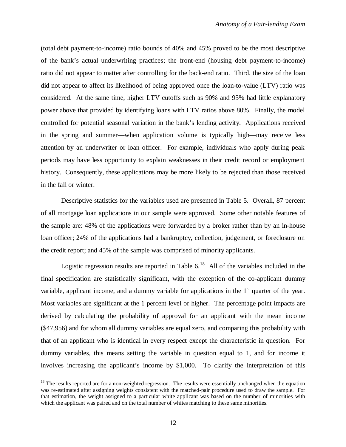(total debt payment-to-income) ratio bounds of 40% and 45% proved to be the most descriptive of the bank's actual underwriting practices; the front-end (housing debt payment-to-income) ratio did not appear to matter after controlling for the back-end ratio. Third, the size of the loan did not appear to affect its likelihood of being approved once the loan-to-value (LTV) ratio was considered. At the same time, higher LTV cutoffs such as 90% and 95% had little explanatory power above that provided by identifying loans with LTV ratios above 80%. Finally, the model controlled for potential seasonal variation in the bank's lending activity. Applications received in the spring and summer—when application volume is typically high—may receive less attention by an underwriter or loan officer. For example, individuals who apply during peak periods may have less opportunity to explain weaknesses in their credit record or employment history. Consequently, these applications may be more likely to be rejected than those received in the fall or winter.

Descriptive statistics for the variables used are presented in Table 5. Overall, 87 percent of all mortgage loan applications in our sample were approved. Some other notable features of the sample are: 48% of the applications were forwarded by a broker rather than by an in-house loan officer; 24% of the applications had a bankruptcy, collection, judgement, or foreclosure on the credit report; and 45% of the sample was comprised of minority applicants.

Logistic regression results are reported in Table  $6<sup>18</sup>$  All of the variables included in the final specification are statistically significant, with the exception of the co-applicant dummy variable, applicant income, and a dummy variable for applications in the  $1<sup>st</sup>$  quarter of the year. Most variables are significant at the 1 percent level or higher. The percentage point impacts are derived by calculating the probability of approval for an applicant with the mean income (\$47,956) and for whom all dummy variables are equal zero, and comparing this probability with that of an applicant who is identical in every respect except the characteristic in question. For dummy variables, this means setting the variable in question equal to 1, and for income it involves increasing the applicant's income by \$1,000. To clarify the interpretation of this

 $\overline{a}$ 

 $18$  The results reported are for a non-weighted regression. The results were essentially unchanged when the equation was re-estimated after assigning weights consistent with the matched-pair procedure used to draw the sample. For that estimation, the weight assigned to a particular white applicant was based on the number of minorities with which the applicant was paired and on the total number of whites matching to these same minorities.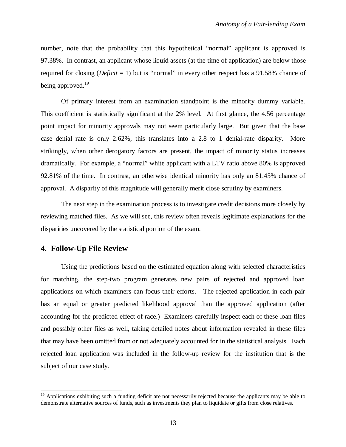number, note that the probability that this hypothetical "normal" applicant is approved is 97.38%. In contrast, an applicant whose liquid assets (at the time of application) are below those required for closing (*Deficit* = 1) but is "normal" in every other respect has a 91.58% chance of being approved.<sup>19</sup>

Of primary interest from an examination standpoint is the minority dummy variable. This coefficient is statistically significant at the 2% level. At first glance, the 4.56 percentage point impact for minority approvals may not seem particularly large. But given that the base case denial rate is only 2.62%, this translates into a 2.8 to 1 denial-rate disparity. More strikingly, when other derogatory factors are present, the impact of minority status increases dramatically. For example, a "normal" white applicant with a LTV ratio above 80% is approved 92.81% of the time. In contrast, an otherwise identical minority has only an 81.45% chance of approval. A disparity of this magnitude will generally merit close scrutiny by examiners.

The next step in the examination process is to investigate credit decisions more closely by reviewing matched files. As we will see, this review often reveals legitimate explanations for the disparities uncovered by the statistical portion of the exam.

## **4. Follow-Up File Review**

Using the predictions based on the estimated equation along with selected characteristics for matching, the step-two program generates new pairs of rejected and approved loan applications on which examiners can focus their efforts. The rejected application in each pair has an equal or greater predicted likelihood approval than the approved application (after accounting for the predicted effect of race.) Examiners carefully inspect each of these loan files and possibly other files as well, taking detailed notes about information revealed in these files that may have been omitted from or not adequately accounted for in the statistical analysis. Each rejected loan application was included in the follow-up review for the institution that is the subject of our case study.

<sup>&</sup>lt;sup>19</sup> Applications exhibiting such a funding deficit are not necessarily rejected because the applicants may be able to demonstrate alternative sources of funds, such as investments they plan to liquidate or gifts from close relatives.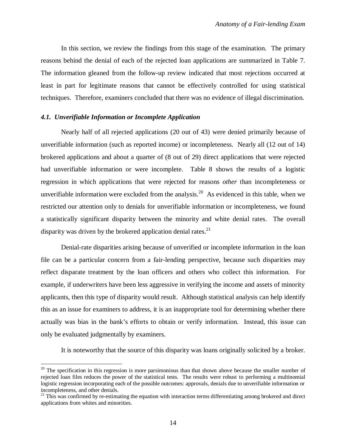In this section, we review the findings from this stage of the examination. The primary reasons behind the denial of each of the rejected loan applications are summarized in Table 7. The information gleaned from the follow-up review indicated that most rejections occurred at least in part for legitimate reasons that cannot be effectively controlled for using statistical techniques. Therefore, examiners concluded that there was no evidence of illegal discrimination.

## *4.1. Unverifiable Information or Incomplete Application*

 $\overline{a}$ 

Nearly half of all rejected applications (20 out of 43) were denied primarily because of unverifiable information (such as reported income) or incompleteness. Nearly all (12 out of 14) brokered applications and about a quarter of (8 out of 29) direct applications that were rejected had unverifiable information or were incomplete. Table 8 shows the results of a logistic regression in which applications that were rejected for reasons *other* than incompleteness or unverifiable information were excluded from the analysis.<sup>20</sup> As evidenced in this table, when we restricted our attention only to denials for unverifiable information or incompleteness, we found a statistically significant disparity between the minority and white denial rates. The overall disparity was driven by the brokered application denial rates.<sup>21</sup>

Denial-rate disparities arising because of unverified or incomplete information in the loan file can be a particular concern from a fair-lending perspective, because such disparities may reflect disparate treatment by the loan officers and others who collect this information. For example, if underwriters have been less aggressive in verifying the income and assets of minority applicants, then this type of disparity would result. Although statistical analysis can help identify this as an issue for examiners to address, it is an inappropriate tool for determining whether there actually was bias in the bank's efforts to obtain or verify information. Instead, this issue can only be evaluated judgmentally by examiners.

It is noteworthy that the source of this disparity was loans originally solicited by a broker.

 $20$  The specification in this regression is more parsimonious than that shown above because the smaller number of rejected loan files reduces the power of the statistical tests. The results were robust to performing a multinomial logistic regression incorporating each of the possible outcomes: approvals, denials due to unverifiable information or incompleteness, and other denials.

 $21$  This was confirmed by re-estimating the equation with interaction terms differentiating among brokered and direct applications from whites and minorities.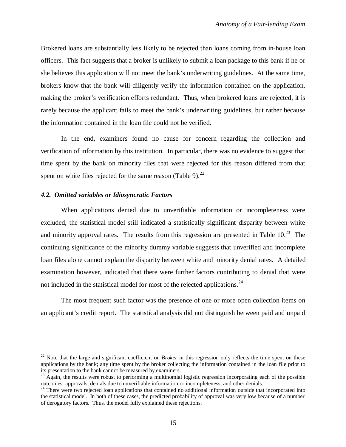Brokered loans are substantially less likely to be rejected than loans coming from in-house loan officers. This fact suggests that a broker is unlikely to submit a loan package to this bank if he or she believes this application will not meet the bank's underwriting guidelines. At the same time, brokers know that the bank will diligently verify the information contained on the application, making the broker's verification efforts redundant. Thus, when brokered loans are rejected, it is rarely because the applicant fails to meet the bank's underwriting guidelines, but rather because the information contained in the loan file could not be verified.

In the end, examiners found no cause for concern regarding the collection and verification of information by this institution. In particular, there was no evidence to suggest that time spent by the bank on minority files that were rejected for this reason differed from that spent on white files rejected for the same reason (Table 9). $^{22}$ 

#### *4.2. Omitted variables or Idiosyncratic Factors*

 $\overline{a}$ 

When applications denied due to unverifiable information or incompleteness were excluded, the statistical model still indicated a statistically significant disparity between white and minority approval rates. The results from this regression are presented in Table  $10^{23}$  The continuing significance of the minority dummy variable suggests that unverified and incomplete loan files alone cannot explain the disparity between white and minority denial rates. A detailed examination however, indicated that there were further factors contributing to denial that were not included in the statistical model for most of the rejected applications.<sup>24</sup>

The most frequent such factor was the presence of one or more open collection items on an applicant's credit report. The statistical analysis did not distinguish between paid and unpaid

<sup>&</sup>lt;sup>22</sup> Note that the large and significant coefficient on *Broker* in this regression only reflects the time spent on these applications by the bank; any time spent by the broker collecting the information contained in the loan file prior to its presentation to the bank cannot be measured by examiners.

 $^{23}$  Again, the results were robust to performing a multinomial logistic regression incorporating each of the possible outcomes: approvals, denials due to unverifiable information or incompleteness, and other denials.

<sup>&</sup>lt;sup>24</sup> There were two rejected loan applications that contained no additional information outside that incorporated into the statistical model. In both of these cases, the predicted probability of approval was very low because of a number of derogatory factors. Thus, the model fully explained these rejections.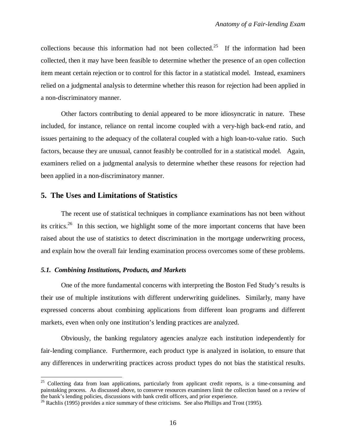collections because this information had not been collected.<sup>25</sup> If the information had been collected, then it may have been feasible to determine whether the presence of an open collection item meant certain rejection or to control for this factor in a statistical model. Instead, examiners relied on a judgmental analysis to determine whether this reason for rejection had been applied in a non-discriminatory manner.

Other factors contributing to denial appeared to be more idiosyncratic in nature. These included, for instance, reliance on rental income coupled with a very-high back-end ratio, and issues pertaining to the adequacy of the collateral coupled with a high loan-to-value ratio. Such factors, because they are unusual, cannot feasibly be controlled for in a statistical model. Again, examiners relied on a judgmental analysis to determine whether these reasons for rejection had been applied in a non-discriminatory manner.

## **5. The Uses and Limitations of Statistics**

The recent use of statistical techniques in compliance examinations has not been without its critics.<sup>26</sup> In this section, we highlight some of the more important concerns that have been raised about the use of statistics to detect discrimination in the mortgage underwriting process, and explain how the overall fair lending examination process overcomes some of these problems.

#### *5.1. Combining Institutions, Products, and Markets*

 $\overline{a}$ 

One of the more fundamental concerns with interpreting the Boston Fed Study's results is their use of multiple institutions with different underwriting guidelines. Similarly, many have expressed concerns about combining applications from different loan programs and different markets, even when only one institution's lending practices are analyzed.

Obviously, the banking regulatory agencies analyze each institution independently for fair-lending compliance. Furthermore, each product type is analyzed in isolation, to ensure that any differences in underwriting practices across product types do not bias the statistical results.

<sup>&</sup>lt;sup>25</sup> Collecting data from loan applications, particularly from applicant credit reports, is a time-consuming and painstaking process. As discussed above, to conserve resources examiners limit the collection based on a review of the bank's lending policies, discussions with bank credit officers, and prior experience.

 $^{26}$  Rachlis (1995) provides a nice summary of these criticisms. See also Phillips and Trost (1995).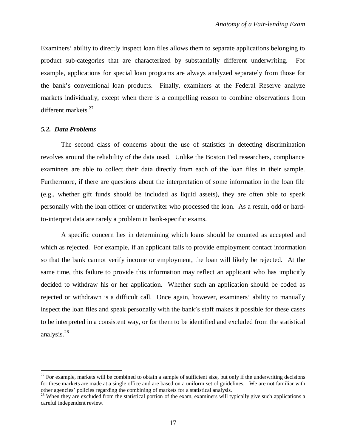Examiners' ability to directly inspect loan files allows them to separate applications belonging to product sub-categories that are characterized by substantially different underwriting. For example, applications for special loan programs are always analyzed separately from those for the bank's conventional loan products. Finally, examiners at the Federal Reserve analyze markets individually, except when there is a compelling reason to combine observations from different markets.<sup>27</sup>

#### *5.2. Data Problems*

 $\overline{a}$ 

The second class of concerns about the use of statistics in detecting discrimination revolves around the reliability of the data used. Unlike the Boston Fed researchers, compliance examiners are able to collect their data directly from each of the loan files in their sample. Furthermore, if there are questions about the interpretation of some information in the loan file (e.g., whether gift funds should be included as liquid assets), they are often able to speak personally with the loan officer or underwriter who processed the loan. As a result, odd or hardto-interpret data are rarely a problem in bank-specific exams.

A specific concern lies in determining which loans should be counted as accepted and which as rejected. For example, if an applicant fails to provide employment contact information so that the bank cannot verify income or employment, the loan will likely be rejected. At the same time, this failure to provide this information may reflect an applicant who has implicitly decided to withdraw his or her application. Whether such an application should be coded as rejected or withdrawn is a difficult call. Once again, however, examiners' ability to manually inspect the loan files and speak personally with the bank's staff makes it possible for these cases to be interpreted in a consistent way, or for them to be identified and excluded from the statistical analysis.<sup>28</sup>

 $27$  For example, markets will be combined to obtain a sample of sufficient size, but only if the underwriting decisions for these markets are made at a single office and are based on a uniform set of guidelines. We are not familiar with other agencies' policies regarding the combining of markets for a statistical analysis.

<sup>&</sup>lt;sup>28</sup> When they are excluded from the statistical portion of the exam, examiners will typically give such applications a careful independent review.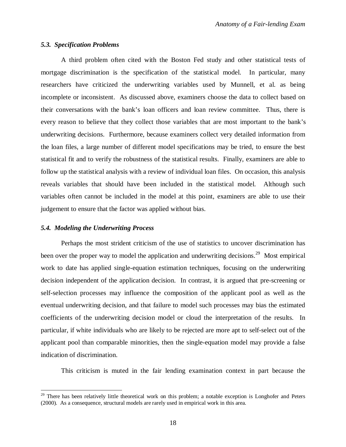## *5.3. Specification Problems*

A third problem often cited with the Boston Fed study and other statistical tests of mortgage discrimination is the specification of the statistical model. In particular, many researchers have criticized the underwriting variables used by Munnell, et al. as being incomplete or inconsistent. As discussed above, examiners choose the data to collect based on their conversations with the bank's loan officers and loan review committee. Thus, there is every reason to believe that they collect those variables that are most important to the bank's underwriting decisions. Furthermore, because examiners collect very detailed information from the loan files, a large number of different model specifications may be tried, to ensure the best statistical fit and to verify the robustness of the statistical results. Finally, examiners are able to follow up the statistical analysis with a review of individual loan files. On occasion, this analysis reveals variables that should have been included in the statistical model. Although such variables often cannot be included in the model at this point, examiners are able to use their judgement to ensure that the factor was applied without bias.

#### *5.4. Modeling the Underwriting Process*

Perhaps the most strident criticism of the use of statistics to uncover discrimination has been over the proper way to model the application and underwriting decisions.<sup>29</sup> Most empirical work to date has applied single-equation estimation techniques, focusing on the underwriting decision independent of the application decision. In contrast, it is argued that pre-screening or self-selection processes may influence the composition of the applicant pool as well as the eventual underwriting decision, and that failure to model such processes may bias the estimated coefficients of the underwriting decision model or cloud the interpretation of the results. In particular, if white individuals who are likely to be rejected are more apt to self-select out of the applicant pool than comparable minorities, then the single-equation model may provide a false indication of discrimination.

This criticism is muted in the fair lending examination context in part because the

<sup>&</sup>lt;sup>29</sup> There has been relatively little theoretical work on this problem; a notable exception is Longhofer and Peters (2000). As a consequence, structural models are rarely used in empirical work in this area.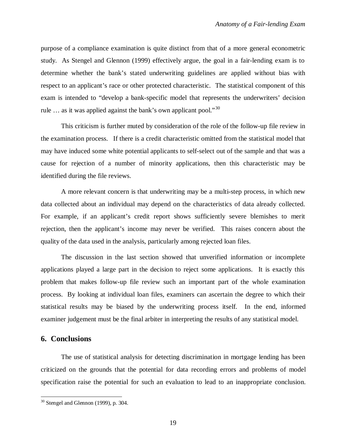purpose of a compliance examination is quite distinct from that of a more general econometric study. As Stengel and Glennon (1999) effectively argue, the goal in a fair-lending exam is to determine whether the bank's stated underwriting guidelines are applied without bias with respect to an applicant's race or other protected characteristic. The statistical component of this exam is intended to "develop a bank-specific model that represents the underwriters' decision rule  $\ldots$  as it was applied against the bank's own applicant pool."<sup>30</sup>

This criticism is further muted by consideration of the role of the follow-up file review in the examination process. If there is a credit characteristic omitted from the statistical model that may have induced some white potential applicants to self-select out of the sample and that was a cause for rejection of a number of minority applications, then this characteristic may be identified during the file reviews.

A more relevant concern is that underwriting may be a multi-step process, in which new data collected about an individual may depend on the characteristics of data already collected. For example, if an applicant's credit report shows sufficiently severe blemishes to merit rejection, then the applicant's income may never be verified. This raises concern about the quality of the data used in the analysis, particularly among rejected loan files.

The discussion in the last section showed that unverified information or incomplete applications played a large part in the decision to reject some applications. It is exactly this problem that makes follow-up file review such an important part of the whole examination process. By looking at individual loan files, examiners can ascertain the degree to which their statistical results may be biased by the underwriting process itself. In the end, informed examiner judgement must be the final arbiter in interpreting the results of any statistical model.

## **6. Conclusions**

 $\overline{a}$ 

The use of statistical analysis for detecting discrimination in mortgage lending has been criticized on the grounds that the potential for data recording errors and problems of model specification raise the potential for such an evaluation to lead to an inappropriate conclusion.

 $30$  Stengel and Glennon (1999), p. 304.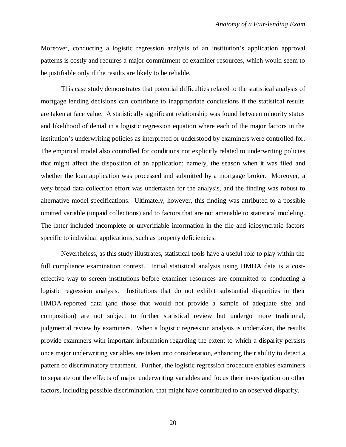Moreover, conducting a logistic regression analysis of an institution's application approval patterns is costly and requires a major commitment of examiner resources, which would seem to be justifiable only if the results are likely to be reliable.

This case study demonstrates that potential difficulties related to the statistical analysis of mortgage lending decisions can contribute to inappropriate conclusions if the statistical results are taken at face value. A statistically significant relationship was found between minority status and likelihood of denial in a logistic regression equation where each of the major factors in the institution's underwriting policies as interpreted or understood by examiners were controlled for. The empirical model also controlled for conditions not explicitly related to underwriting policies that might affect the disposition of an application; namely, the season when it was filed and whether the loan application was processed and submitted by a mortgage broker. Moreover, a very broad data collection effort was undertaken for the analysis, and the finding was robust to alternative model specifications. Ultimately, however, this finding was attributed to a possible omitted variable (unpaid collections) and to factors that are not amenable to statistical modeling. The latter included incomplete or unverifiable information in the file and idiosyncratic factors specific to individual applications, such as property deficiencies.

Nevertheless, as this study illustrates, statistical tools have a useful role to play within the full compliance examination context. Initial statistical analysis using HMDA data is a costeffective way to screen institutions before examiner resources are committed to conducting a logistic regression analysis. Institutions that do not exhibit substantial disparities in their HMDA-reported data (and those that would not provide a sample of adequate size and composition) are not subject to further statistical review but undergo more traditional, judgmental review by examiners. When a logistic regression analysis is undertaken, the results provide examiners with important information regarding the extent to which a disparity persists once major underwriting variables are taken into consideration, enhancing their ability to detect a pattern of discriminatory treatment. Further, the logistic regression procedure enables examiners to separate out the effects of major underwriting variables and focus their investigation on other factors, including possible discrimination, that might have contributed to an observed disparity.

20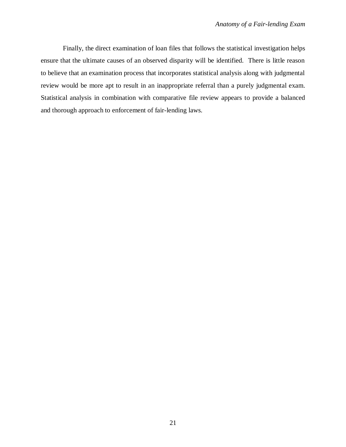Finally, the direct examination of loan files that follows the statistical investigation helps ensure that the ultimate causes of an observed disparity will be identified. There is little reason to believe that an examination process that incorporates statistical analysis along with judgmental review would be more apt to result in an inappropriate referral than a purely judgmental exam. Statistical analysis in combination with comparative file review appears to provide a balanced and thorough approach to enforcement of fair-lending laws.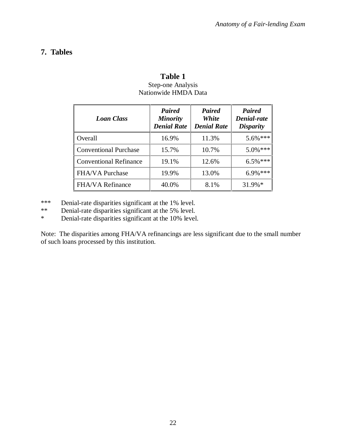# **7. Tables**

| <b>Loan Class</b>             | <b>Paired</b><br><b>Minority</b><br><b>Denial Rate</b> | Paired<br><b>White</b><br><b>Denial Rate</b> | <b>Paired</b><br>Denial-rate<br><b>Disparity</b> |  |
|-------------------------------|--------------------------------------------------------|----------------------------------------------|--------------------------------------------------|--|
| Overall                       | 16.9%                                                  | 11.3%                                        | $5.6\%***$                                       |  |
| <b>Conventional Purchase</b>  | 15.7%                                                  | 10.7%                                        | $5.0\%$ ***                                      |  |
| <b>Conventional Refinance</b> | 19.1%                                                  | 12.6%                                        | $6.5\%$ ***                                      |  |
| <b>FHA/VA Purchase</b>        | 19.9%                                                  | 13.0%                                        | $6.9\%***$                                       |  |
| <b>FHA/VA Refinance</b>       | 40.0%                                                  | 8.1%                                         | $31.9\%*$                                        |  |

# **Table 1** Step-one Analysis Nationwide HMDA Data

\*\*\* Denial-rate disparities significant at the 1% level.<br>\*\* Denial-rate disparities significant at the 5% level

\*\* Denial-rate disparities significant at the 5% level.<br>Negligible 10% level

Denial-rate disparities significant at the 10% level.

Note: The disparities among FHA/VA refinancings are less significant due to the small number of such loans processed by this institution.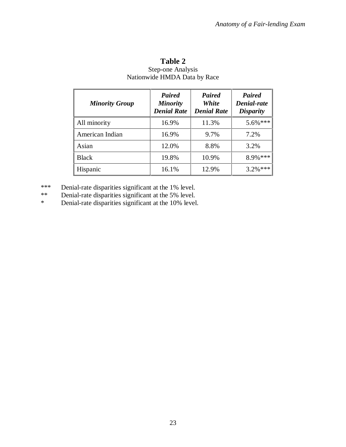| <b>Minority Group</b> | <b>Paired</b><br><b>Minority</b><br><b>Denial Rate</b> | Paired<br><b>White</b><br><b>Denial Rate</b> | <b>Paired</b><br>Denial-rate<br><b>Disparity</b> |  |
|-----------------------|--------------------------------------------------------|----------------------------------------------|--------------------------------------------------|--|
| All minority          | 16.9%                                                  | 11.3%                                        | $5.6\%***$                                       |  |
| American Indian       | 16.9%                                                  | 9.7%                                         | 7.2%                                             |  |
| Asian                 | 12.0%                                                  | 8.8%                                         | 3.2%                                             |  |
| <b>Black</b>          | 19.8%                                                  | 10.9%                                        | 8.9% ***                                         |  |
| Hispanic              | 16.1%                                                  | 12.9%                                        | $3.2\%$ ***                                      |  |

# **Table 2** Step-one Analysis Nationwide HMDA Data by Race

\*\*\* Denial-rate disparities significant at the 1% level.<br>\*\* Denial-rate disparities significant at the 5% level.

\*\* Denial-rate disparities significant at the 5% level.<br>
Penial-rate disparities significant at the 10% level

Denial-rate disparities significant at the 10% level.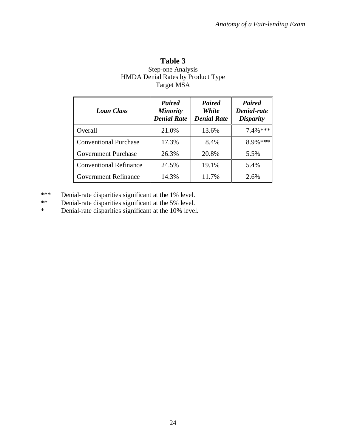| Table 3                                  |
|------------------------------------------|
| <b>Step-one Analysis</b>                 |
| <b>HMDA Denial Rates by Product Type</b> |
| <b>Target MSA</b>                        |

| <b>Loan Class</b>             | Paired<br><b>Minority</b><br><b>Denial Rate</b> | <b>Paired</b><br><b>White</b><br><b>Denial Rate</b> | <b>Paired</b><br>Denial-rate<br><b>Disparity</b> |  |
|-------------------------------|-------------------------------------------------|-----------------------------------------------------|--------------------------------------------------|--|
| Overall                       | 21.0%                                           | 13.6%                                               | $7.4\%$ ***                                      |  |
| <b>Conventional Purchase</b>  | 17.3%                                           | 8.4%                                                | $8.9\%$ ***                                      |  |
| <b>Government Purchase</b>    | 26.3%                                           | 20.8%                                               | 5.5%                                             |  |
| <b>Conventional Refinance</b> | 24.5%                                           | 19.1%                                               | 5.4%                                             |  |
| <b>Government Refinance</b>   | 14.3%                                           | 11.7%                                               | 2.6%                                             |  |

\*\*\* Denial-rate disparities significant at the 1% level.<br>\*\* Denial-rate disparities significant at the 5% level.

\*\* Denial-rate disparities significant at the 5% level.<br>Negligible 10% level

Denial-rate disparities significant at the 10% level.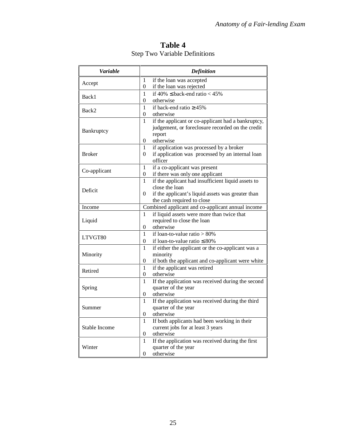| Table 4 |                                      |  |  |  |  |  |
|---------|--------------------------------------|--|--|--|--|--|
|         | <b>Step Two Variable Definitions</b> |  |  |  |  |  |

| Variable      |                | <b>Definition</b>                                  |
|---------------|----------------|----------------------------------------------------|
|               | 1              | if the loan was accepted                           |
| Accept        | 0              | if the loan was rejected                           |
| Back1         | 1              | if $40\% \leq$ back-end ratio $< 45\%$             |
|               | 0              | otherwise                                          |
|               | 1              | if back-end ratio $\geq 45\%$                      |
| Back2         | 0              | otherwise                                          |
|               | 1              | if the applicant or co-applicant had a bankruptcy, |
|               |                | judgement, or foreclosure recorded on the credit   |
| Bankruptcy    |                | report                                             |
|               | 0              | otherwise                                          |
|               | 1              | if application was processed by a broker           |
| <b>Broker</b> | 0              | if application was processed by an internal loan   |
|               |                | officer                                            |
| Co-applicant  | 1              | if a co-applicant was present                      |
|               | 0              | if there was only one applicant                    |
|               | 1              | if the applicant had insufficient liquid assets to |
| Deficit       |                | close the loan                                     |
|               | $\theta$       | if the applicant's liquid assets was greater than  |
|               |                | the cash required to close                         |
| Income        |                | Combined applicant and co-applicant annual income  |
|               | 1              | if liquid assets were more than twice that         |
| Liquid        |                | required to close the loan                         |
|               | 0              | otherwise                                          |
| LTVGT80       | $\mathbf{1}$   | if loan-to-value ratio $> 80\%$                    |
|               | 0              | if loan-to-value ratio $\leq 80\%$                 |
|               | $\mathbf{1}$   | if either the applicant or the co-applicant was a  |
| Minority      |                | minority                                           |
|               | 0              | if both the applicant and co-applicant were white  |
| Retired       | $\mathbf{1}$   | if the applicant was retired                       |
|               | $\overline{0}$ | otherwise                                          |
|               | $\mathbf{1}$   | If the application was received during the second  |
| Spring        |                | quarter of the year                                |
|               | 0              | otherwise                                          |
|               | $\mathbf{1}$   | If the application was received during the third   |
| Summer        |                | quarter of the year                                |
|               | 0              | otherwise                                          |
|               | $\mathbf{1}$   | If both applicants had been working in their       |
| Stable Income |                | current jobs for at least 3 years                  |
|               | 0              | otherwise                                          |
|               | 1              | If the application was received during the first   |
| Winter        |                | quarter of the year                                |
|               | $\overline{0}$ | otherwise                                          |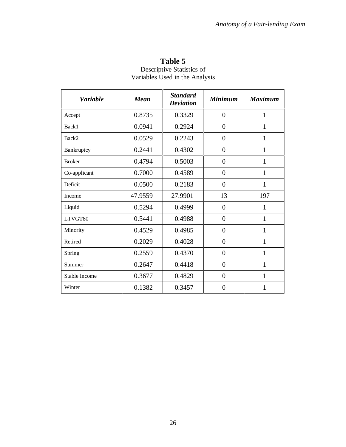| <b>Variable</b> | <b>Mean</b> | <b>Standard</b><br><b>Deviation</b> | <b>Minimum</b> | <b>Maximum</b> |
|-----------------|-------------|-------------------------------------|----------------|----------------|
| Accept          | 0.8735      | 0.3329                              | $\overline{0}$ | 1              |
| Back1           | 0.0941      | 0.2924                              | $\overline{0}$ | 1              |
| Back2           | 0.0529      | 0.2243                              | $\overline{0}$ | $\mathbf{1}$   |
| Bankruptcy      | 0.2441      | 0.4302                              | $\overline{0}$ | $\mathbf{1}$   |
| <b>Broker</b>   | 0.4794      | 0.5003                              | $\overline{0}$ | $\mathbf{1}$   |
| Co-applicant    | 0.7000      | 0.4589                              | $\overline{0}$ | $\mathbf{1}$   |
| Deficit         | 0.0500      | 0.2183                              | $\theta$       | 1              |
| Income          | 47.9559     | 27.9901                             | 13             | 197            |
| Liquid          | 0.5294      | 0.4999                              | $\overline{0}$ | 1              |
| LTVGT80         | 0.5441      | 0.4988                              | $\overline{0}$ | 1              |
| Minority        | 0.4529      | 0.4985                              | $\overline{0}$ | $\mathbf{1}$   |
| Retired         | 0.2029      | 0.4028                              | $\overline{0}$ | $\mathbf{1}$   |
| Spring          | 0.2559      | 0.4370                              | $\overline{0}$ | $\mathbf{1}$   |
| Summer          | 0.2647      | 0.4418                              | $\overline{0}$ | 1              |
| Stable Income   | 0.3677      | 0.4829                              | $\overline{0}$ | 1              |
| Winter          | 0.1382      | 0.3457                              | $\overline{0}$ | 1              |

**Table 5** Descriptive Statistics of Variables Used in the Analysis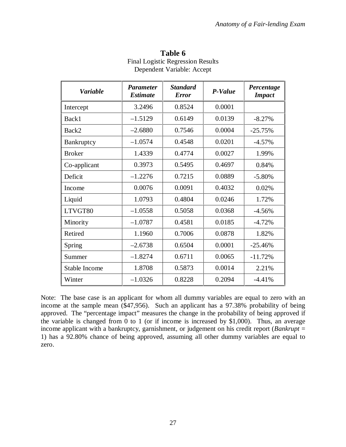| <b>Variable</b>      | <b>Parameter</b><br><b>Estimate</b> | <b>Standard</b><br><b>Error</b> | P-Value | Percentage<br><b>Impact</b> |
|----------------------|-------------------------------------|---------------------------------|---------|-----------------------------|
| Intercept            | 3.2496                              | 0.8524                          | 0.0001  |                             |
| Back1                | $-1.5129$                           | 0.6149                          | 0.0139  | $-8.27%$                    |
| Back2                | $-2.6880$                           | 0.7546                          | 0.0004  | $-25.75%$                   |
| Bankruptcy           | $-1.0574$                           | 0.4548                          | 0.0201  | $-4.57%$                    |
| <b>Broker</b>        | 1.4339                              | 0.4774                          | 0.0027  | 1.99%                       |
| Co-applicant         | 0.3973                              | 0.5495                          | 0.4697  | 0.84%                       |
| Deficit              | $-1.2276$                           | 0.7215                          | 0.0889  | $-5.80%$                    |
| Income               | 0.0076                              | 0.0091                          | 0.4032  | 0.02%                       |
| Liquid               | 1.0793                              | 0.4804                          | 0.0246  | 1.72%                       |
| LTVGT80              | $-1.0558$                           | 0.5058                          | 0.0368  | $-4.56%$                    |
| Minority             | $-1.0787$                           | 0.4581                          | 0.0185  | $-4.72%$                    |
| Retired              | 1.1960                              | 0.7006                          | 0.0878  | 1.82%                       |
| Spring               | $-2.6738$                           | 0.6504                          | 0.0001  | $-25.46%$                   |
| Summer               | $-1.8274$                           | 0.6711                          | 0.0065  | $-11.72%$                   |
| <b>Stable Income</b> | 1.8708                              | 0.5873                          | 0.0014  | 2.21%                       |
| Winter               | $-1.0326$                           | 0.8228                          | 0.2094  | $-4.41%$                    |

**Table 6** Final Logistic Regression Results Dependent Variable: Accept

Note: The base case is an applicant for whom all dummy variables are equal to zero with an income at the sample mean (\$47,956). Such an applicant has a 97.38% probability of being approved. The "percentage impact" measures the change in the probability of being approved if the variable is changed from 0 to 1 (or if income is increased by \$1,000). Thus, an average income applicant with a bankruptcy, garnishment, or judgement on his credit report (*Bankrupt* = 1) has a 92.80% chance of being approved, assuming all other dummy variables are equal to zero.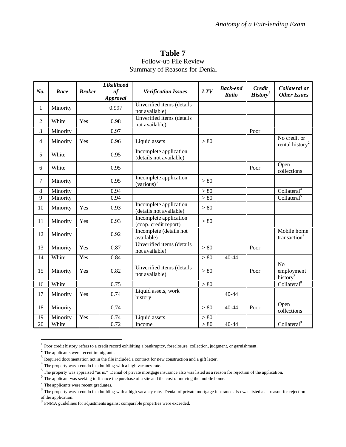## **Table 7** Follow-up File Review Summary of Reasons for Denial

| No.            | Race     | <b>Broker</b> | Likelihood<br>of<br><b>Approval</b> | <b>Verification Issues</b>                          | <b>LTV</b>                     | <b>Back-end</b><br>Ratio | <b>Credit</b><br>History <sup>1</sup> | Collateral or<br><b>Other Issues</b>                 |
|----------------|----------|---------------|-------------------------------------|-----------------------------------------------------|--------------------------------|--------------------------|---------------------------------------|------------------------------------------------------|
| 1              | Minority |               | 0.997                               | Unverified items (details<br>not available)         |                                |                          |                                       |                                                      |
| $\overline{2}$ | White    | Yes           | 0.98                                | Unverified items (details<br>not available)         |                                |                          |                                       |                                                      |
| 3              | Minority |               | 0.97                                |                                                     |                                |                          | Poor                                  |                                                      |
| 4              | Minority | Yes           | 0.96                                | Liquid assets                                       | > 80                           |                          |                                       | No credit or<br>rental history <sup>2</sup>          |
| 5              | White    |               | 0.95                                | Incomplete application<br>(details not available)   |                                |                          |                                       |                                                      |
| 6              | White    |               | 0.95                                |                                                     |                                |                          | Poor                                  | Open<br>collections                                  |
| 7              | Minority |               | 0.95                                | Incomplete application<br>(various) <sup>3</sup>    | > 80                           |                          |                                       |                                                      |
| 8              | Minority |               | 0.94                                |                                                     | > 80                           |                          |                                       | Collateral <sup>4</sup>                              |
| 9              | Minority |               | 0.94                                |                                                     | > 80                           |                          |                                       | Collateral <sup>5</sup>                              |
| 10             | Minority | Yes           | 0.93                                | (details not available)                             | Incomplete application<br>> 80 |                          |                                       |                                                      |
| 11             | Minority | Yes           | 0.93                                | (coap. credit report)                               | Incomplete application<br>> 80 |                          |                                       |                                                      |
| 12             | Minority |               | 0.92                                | Incomplete (details not<br>available)               |                                |                          |                                       | Mobile home<br>transaction <sup>6</sup>              |
| 13             | Minority | Yes           | 0.87                                | Unverified items (details<br>not available)         | > 80                           |                          | Poor                                  |                                                      |
| 14             | White    | Yes           | 0.84                                |                                                     | > 80                           | 40-44                    |                                       |                                                      |
| 15             | Minority | Yes           | 0.82                                | Unverified items (details<br>> 80<br>not available) |                                |                          | Poor                                  | N <sub>o</sub><br>employment<br>history <sup>7</sup> |
| 16             | White    |               | 0.75                                | > 80                                                |                                |                          |                                       | Collateral <sup>8</sup>                              |
| 17             | Minority | Yes           | 0.74                                | Liquid assets, work<br>history                      |                                | 40-44                    |                                       |                                                      |
| 18             | Minority |               | 0.74                                | > 80                                                |                                | 40-44                    | Poor                                  | Open<br>collections                                  |
| 19             | Minority | Yes           | 0.74                                | Liquid assets                                       | > 80                           |                          |                                       |                                                      |
| 20             | White    |               | 0.72                                | Income                                              | > 80                           | 40-44                    |                                       | Collateral <sup>9</sup>                              |

<sup>1</sup> Poor credit history refers to a credit record exhibiting a bankruptcy, foreclosure, collection, judgment, or garnishment.

 $\overline{a}$ 

<sup>2</sup> The applicants were recent immigrants.

<sup>&</sup>lt;sup>3</sup> Required documentation not in the file included a contract for new construction and a gift letter.

 $\frac{4}{\pi}$  The property was a condo in a building with a high vacancy rate.

<sup>&</sup>lt;sup>5</sup> The property was appraised "as is." Denial of private mortgage insurance also was listed as a reason for rejection of the application.

<sup>&</sup>lt;sup>6</sup> The applicant was seeking to finance the purchase of a site and the cost of moving the mobile home.

 $7$  The applicants were recent graduates.

<sup>&</sup>lt;sup>8</sup> The property was a condo in a building with a high vacancy rate. Denial of private mortgage insurance also was listed as a reason for rejection  $\frac{1}{\sqrt{2}}$  of the application.

 $9$  FNMA guidelines for adjustments against comparable properties were exceeded.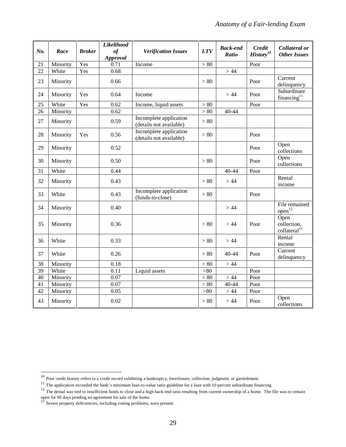|                 |          |               | Likelihood            |                                                   |            | <b>Back-end</b> | <b>Credit</b>         | Collateral or                                   |
|-----------------|----------|---------------|-----------------------|---------------------------------------------------|------------|-----------------|-----------------------|-------------------------------------------------|
| No.             | Race     | <b>Broker</b> | of<br><b>Approval</b> | <b>Verification Issues</b>                        | <b>LTV</b> | Ratio           | History <sup>10</sup> | <b>Other Issues</b>                             |
| 21              | Minority | Yes           | 0.71                  | Income                                            | > 80       |                 | Poor                  |                                                 |
| 22              | White    | Yes           | 0.68                  |                                                   |            | >44             |                       |                                                 |
| 23              | Minority |               | 0.66                  |                                                   | > 80       |                 | Poor                  | Current<br>delinquency                          |
| 24              | Minority | Yes           | 0.64                  | Income                                            |            | > 44            | Poor                  | Subordinate<br>financing $11$                   |
| 25              | White    | Yes           | 0.62                  | Income, liquid assets                             | $>80$      |                 | Poor                  |                                                 |
| 26              | Minority |               | 0.62                  |                                                   | > 80       | 40-44           |                       |                                                 |
| 27              | Minority |               | 0.59                  | Incomplete application<br>(details not available) | > 80       |                 |                       |                                                 |
| 28              | Minority | Yes           | 0.56                  | Incomplete application<br>(details not available) | > 80       |                 | Poor                  |                                                 |
| 29              | Minority |               | 0.52                  |                                                   |            |                 | Poor                  | Open<br>collections                             |
| 30              | Minority |               | 0.50                  |                                                   | > 80       |                 | Poor                  | Open<br>collections                             |
| 31              | White    |               | 0.44                  |                                                   |            | 40-44           | Poor                  |                                                 |
| 32              | Minority |               | 0.43                  |                                                   | > 80       | >44             |                       | Rental<br>income                                |
| 33              | White    |               | 0.43                  | Incomplete application<br>(funds-to-close)        | > 80       |                 | Poor                  |                                                 |
| 34              | Minority |               | 0.40                  |                                                   |            | >44             |                       | File remained<br>$open^{12}$                    |
| 35              | Minority |               | 0.36                  |                                                   | > 80       | > 44            | Poor                  | Open<br>collection,<br>collateral <sup>13</sup> |
| 36              | White    |               | 0.33                  |                                                   | > 80       | >44             |                       | Rental<br>income                                |
| 37              | White    |               | 0.26                  |                                                   | > 80       | 40-44           | Poor                  | Current<br>delinquency                          |
| 38              | Minority |               | 0.18                  |                                                   | > 80       | > 44            |                       |                                                 |
| $\overline{39}$ | White    |               | 0.11                  | Liquid assets                                     | $> 80$     |                 | Poor                  |                                                 |
| $\overline{40}$ | Minority |               | 0.07                  |                                                   | > 80       | >44             | Poor                  |                                                 |
| 41              | Minority |               | 0.07                  |                                                   | > 80       | 40-44           | Poor                  |                                                 |
| 42              | Minority |               | 0.05                  |                                                   | >80        | > 44            | Poor                  |                                                 |
| 43              | Minority |               | 0.02                  |                                                   | > 80       | >44             | Poor                  | Open<br>collections                             |

 $\overline{a}$ 

 $10$  Poor credit history refers to a credit record exhibiting a bankruptcy, foreclosure, collection, judgment, or garnishment.

 $11$  The application exceeded the bank's minimum loan-to-value ratio guideline for a loan with 10 percent subordinate financing.

 $12$  The denial was tied to insufficient funds to close and a high back-end ratio resulting from current ownership of a home. The file was to remain open for 90 days pending an agreement for sale of the home.

Severe property deficiencies, including zoning problems, were present.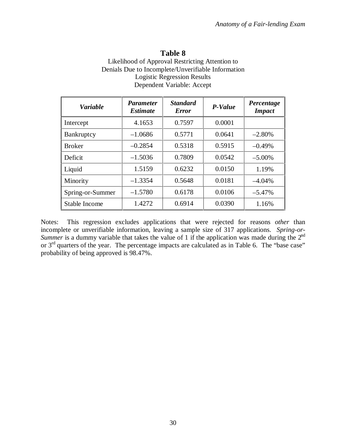# **Table 8**

| Likelihood of Approval Restricting Attention to    |
|----------------------------------------------------|
| Denials Due to Incomplete/Unverifiable Information |
| <b>Logistic Regression Results</b>                 |
| Dependent Variable: Accept                         |

| <b>Variable</b>      | <b>Parameter</b><br><i><b>Estimate</b></i> | <b>Standard</b><br><b>Error</b> | P-Value | Percentage<br><b>Impact</b> |
|----------------------|--------------------------------------------|---------------------------------|---------|-----------------------------|
| Intercept            | 4.1653                                     | 0.7597                          | 0.0001  |                             |
| Bankruptcy           | $-1.0686$                                  | 0.5771                          | 0.0641  | $-2.80%$                    |
| <b>Broker</b>        | $-0.2854$                                  | 0.5318                          | 0.5915  | $-0.49%$                    |
| Deficit              | $-1.5036$                                  | 0.7809                          | 0.0542  | $-5.00\%$                   |
| Liquid               | 1.5159                                     | 0.6232                          | 0.0150  | 1.19%                       |
| Minority             | $-1.3354$                                  | 0.5648                          | 0.0181  | $-4.04\%$                   |
| Spring-or-Summer     | $-1.5780$                                  | 0.6178                          | 0.0106  | $-5.47%$                    |
| <b>Stable Income</b> | 1.4272                                     | 0.6914                          | 0.0390  | 1.16%                       |

Notes: This regression excludes applications that were rejected for reasons *other* than incomplete or unverifiable information, leaving a sample size of 317 applications. *Spring-or-Summer* is a dummy variable that takes the value of 1 if the application was made during the 2<sup>nd</sup> or 3<sup>rd</sup> quarters of the year. The percentage impacts are calculated as in Table 6. The "base case" probability of being approved is 98.47%.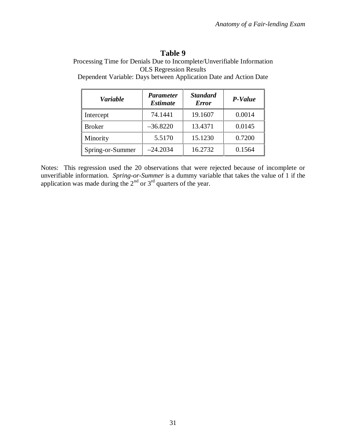# **Table 9**

Processing Time for Denials Due to Incomplete/Unverifiable Information OLS Regression Results

Dependent Variable: Days between Application Date and Action Date

| <b>Variable</b>  | <b>Parameter</b><br><b>Estimate</b> | <b>Standard</b><br><b>Error</b> | P-Value |
|------------------|-------------------------------------|---------------------------------|---------|
| Intercept        | 74.1441                             | 19.1607                         | 0.0014  |
| <b>Broker</b>    | $-36.8220$                          | 13.4371                         | 0.0145  |
| Minority         | 5.5170                              | 15.1230                         | 0.7200  |
| Spring-or-Summer | $-24.2034$                          | 16.2732                         | 0.1564  |

Notes: This regression used the 20 observations that were rejected because of incomplete or unverifiable information. *Spring-or-Summer* is a dummy variable that takes the value of 1 if the application was made during the  $2<sup>nd</sup>$  or  $3<sup>rd</sup>$  quarters of the year.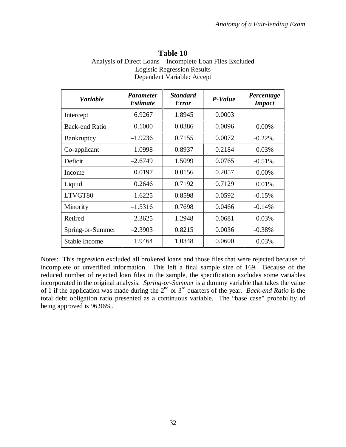| Table 10                                                  |  |  |  |  |
|-----------------------------------------------------------|--|--|--|--|
| Analysis of Direct Loans – Incomplete Loan Files Excluded |  |  |  |  |
| <b>Logistic Regression Results</b>                        |  |  |  |  |
| Dependent Variable: Accept                                |  |  |  |  |

| <b>Variable</b>  | <i>Parameter</i><br><b>Estimate</b> | <b>Standard</b><br><b>Error</b> | P-Value | Percentage<br><b>Impact</b> |
|------------------|-------------------------------------|---------------------------------|---------|-----------------------------|
| Intercept        | 6.9267                              | 1.8945                          | 0.0003  |                             |
| Back-end Ratio   | $-0.1000$                           | 0.0386                          | 0.0096  | $0.00\%$                    |
| Bankruptcy       | $-1.9236$                           | 0.7155                          | 0.0072  | $-0.22\%$                   |
| Co-applicant     | 1.0998                              | 0.8937                          | 0.2184  | 0.03%                       |
| Deficit          | $-2.6749$                           | 1.5099                          | 0.0765  | $-0.51%$                    |
| Income           | 0.0197                              | 0.0156                          | 0.2057  | $0.00\%$                    |
| Liquid           | 0.2646                              | 0.7192                          | 0.7129  | 0.01%                       |
| LTVGT80          | $-1.6225$                           | 0.8598                          | 0.0592  | $-0.15%$                    |
| Minority         | $-1.5316$                           | 0.7698                          | 0.0466  | $-0.14%$                    |
| Retired          | 2.3625                              | 1.2948                          | 0.0681  | 0.03%                       |
| Spring-or-Summer | $-2.3903$                           | 0.8215                          | 0.0036  | $-0.38%$                    |
| Stable Income    | 1.9464                              | 1.0348                          | 0.0600  | 0.03%                       |

Notes: This regression excluded all brokered loans and those files that were rejected because of incomplete or unverified information. This left a final sample size of 169. Because of the reduced number of rejected loan files in the sample, the specification excludes some variables incorporated in the original analysis. *Spring-or-Summer* is a dummy variable that takes the value of 1 if the application was made during the 2nd or 3rd quarters of the year. *Back-end Ratio* is the total debt obligation ratio presented as a continuous variable. The "base case" probability of being approved is 96.96%.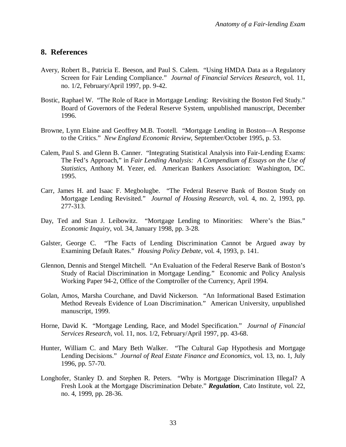## **8. References**

- Avery, Robert B., Patricia E. Beeson, and Paul S. Calem. "Using HMDA Data as a Regulatory Screen for Fair Lending Compliance." *Journal of Financial Services Research*, vol. 11, no. 1/2, February/April 1997, pp. 9-42.
- Bostic, Raphael W. "The Role of Race in Mortgage Lending: Revisiting the Boston Fed Study." Board of Governors of the Federal Reserve System, unpublished manuscript, December 1996.
- Browne, Lynn Elaine and Geoffrey M.B. Tootell. "Mortgage Lending in Boston—A Response to the Critics." *New England Economic Review*, September/October 1995, p. 53.
- Calem, Paul S. and Glenn B. Canner. "Integrating Statistical Analysis into Fair-Lending Exams: The Fed's Approach," in *Fair Lending Analysis: A Compendium of Essays on the Use of Statistics*, Anthony M. Yezer, ed. American Bankers Association: Washington, DC. 1995.
- Carr, James H. and Isaac F. Megbolugbe. "The Federal Reserve Bank of Boston Study on Mortgage Lending Revisited." *Journal of Housing Research*, vol. 4, no. 2, 1993, pp. 277-313.
- Day, Ted and Stan J. Leibowitz. "Mortgage Lending to Minorities: Where's the Bias." *Economic Inquiry*, vol. 34, January 1998, pp. 3-28.
- Galster, George C. "The Facts of Lending Discrimination Cannot be Argued away by Examining Default Rates." *Housing Policy Debate*, vol. 4, 1993, p. 141.
- Glennon, Dennis and Stengel Mitchell. "An Evaluation of the Federal Reserve Bank of Boston's Study of Racial Discrimination in Mortgage Lending." Economic and Policy Analysis Working Paper 94-2, Office of the Comptroller of the Currency, April 1994.
- Golan, Amos, Marsha Courchane, and David Nickerson. "An Informational Based Estimation Method Reveals Evidence of Loan Discrimination." American University, unpublished manuscript, 1999.
- Horne, David K. "Mortgage Lending, Race, and Model Specification." *Journal of Financial Services Research*, vol. 11, nos. 1/2, February/April 1997, pp. 43-68.
- Hunter, William C. and Mary Beth Walker. "The Cultural Gap Hypothesis and Mortgage Lending Decisions." *Journal of Real Estate Finance and Economics*, vol. 13, no. 1, July 1996, pp. 57-70.
- Longhofer, Stanley D. and Stephen R. Peters. "Why is Mortgage Discrimination Illegal? A Fresh Look at the Mortgage Discrimination Debate." *Regulation*, Cato Institute, vol. 22, no. 4, 1999, pp. 28-36.